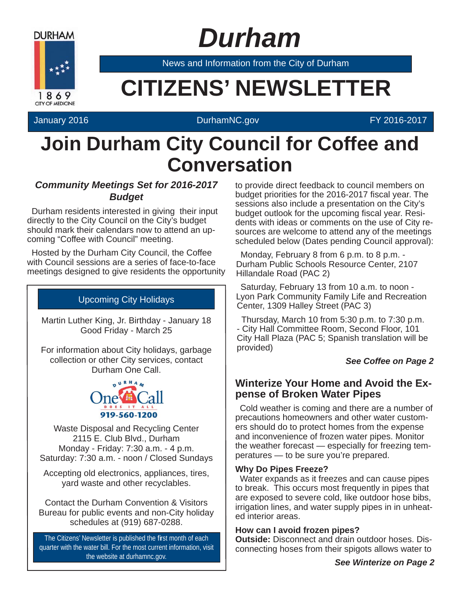

# *Durham*

News and Information from the City of Durham

# **EXAMPLE CITIZENS' NEWSLETTER**

### January 2016 DurhamNC.gov FY 2016-2017

# **Join Durham City Council for Coffee and Conversation**

### *Community Meetings Set for 2016-2017 Budget*

Durham residents interested in giving their input directly to the City Council on the City's budget should mark their calendars now to attend an upcoming "Coffee with Council" meeting.

Hosted by the Durham City Council, the Coffee with Council sessions are a series of face-to-face meetings designed to give residents the opportunity

# Upcoming City Holidays

Martin Luther King, Jr. Birthday - January 18 Good Friday - March 25

For information about City holidays, garbage collection or other City services, contact Durham One Call.



Waste Disposal and Recycling Center 2115 E. Club Blvd., Durham Monday - Friday: 7:30 a.m. - 4 p.m. Saturday: 7:30 a.m. - noon / Closed Sundays

Accepting old electronics, appliances, tires, yard waste and other recyclables.

Contact the Durham Convention & Visitors Bureau for public events and non-City holiday schedules at (919) 687-0288.

The Citizens' Newsletter is published the first month of each quarter with the water bill. For the most current information, visit the website at durhamnc.gov.

to provide direct feedback to council members on budget priorities for the 2016-2017 fiscal year. The sessions also include a presentation on the City's budget outlook for the upcoming fiscal year. Residents with ideas or comments on the use of City resources are welcome to attend any of the meetings scheduled below (Dates pending Council approval):

Monday, February 8 from 6 p.m. to 8 p.m. - Durham Public Schools Resource Center, 2107 Hillandale Road (PAC 2)

Saturday, February 13 from 10 a.m. to noon - Lyon Park Community Family Life and Recreation Center, 1309 Halley Street (PAC 3)

Thursday, March 10 from 5:30 p.m. to 7:30 p.m. - City Hall Committee Room, Second Floor, 101 City Hall Plaza (PAC 5; Spanish translation will be provided)

#### *See Coffee on Page 2*

# **Winterize Your Home and Avoid the Expense of Broken Water Pipes**

Cold weather is coming and there are a number of precautions homeowners and other water customers should do to protect homes from the expense and inconvenience of frozen water pipes. Monitor the weather forecast — especially for freezing temperatures — to be sure you're prepared.

#### **Why Do Pipes Freeze?**

Water expands as it freezes and can cause pipes to break. This occurs most frequently in pipes that are exposed to severe cold, like outdoor hose bibs, irrigation lines, and water supply pipes in in unheated interior areas.

#### **How can I avoid frozen pipes?**

**Outside:** Disconnect and drain outdoor hoses. Disconnecting hoses from their spigots allows water to